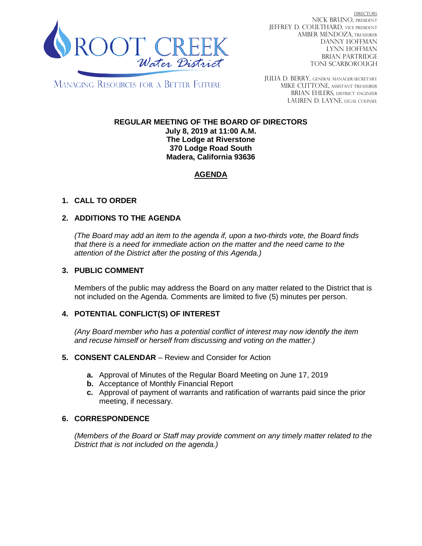

DIRECTORS NICK BRUNO, PRESIDENT JEFFREY D. COULTHARD, VICE PRESIDENT AMBER MENDOZA, TREASURER DANNY HOFFMAN LYNN HOFFMAN BRIAN PARTRIDGE TONI SCARBOROUGH

MANAGING RESOURCES FOR A BETTER FUTURE

JULIA D. BERRY, GENERAL MANAGER/secretary MIKE CUTTONE, Assistant treasurer BRIAN EHLERS, DISTRICT ENGINEER LAUREN D. LAYNE, LEGAL COUNSEL

# **REGULAR MEETING OF THE BOARD OF DIRECTORS**

**July 8, 2019 at 11:00 A.M. The Lodge at Riverstone 370 Lodge Road South Madera, California 93636**

## **AGENDA**

## **1. CALL TO ORDER**

## **2. ADDITIONS TO THE AGENDA**

*(The Board may add an item to the agenda if, upon a two-thirds vote, the Board finds that there is a need for immediate action on the matter and the need came to the attention of the District after the posting of this Agenda.)*

#### **3. PUBLIC COMMENT**

Members of the public may address the Board on any matter related to the District that is not included on the Agenda. Comments are limited to five (5) minutes per person.

#### **4. POTENTIAL CONFLICT(S) OF INTEREST**

*(Any Board member who has a potential conflict of interest may now identify the item and recuse himself or herself from discussing and voting on the matter.)*

#### **5. CONSENT CALENDAR** – Review and Consider for Action

- **a.** Approval of Minutes of the Regular Board Meeting on June 17, 2019
- **b.** Acceptance of Monthly Financial Report
- **c.** Approval of payment of warrants and ratification of warrants paid since the prior meeting, if necessary.

#### **6. CORRESPONDENCE**

*(Members of the Board or Staff may provide comment on any timely matter related to the District that is not included on the agenda.)*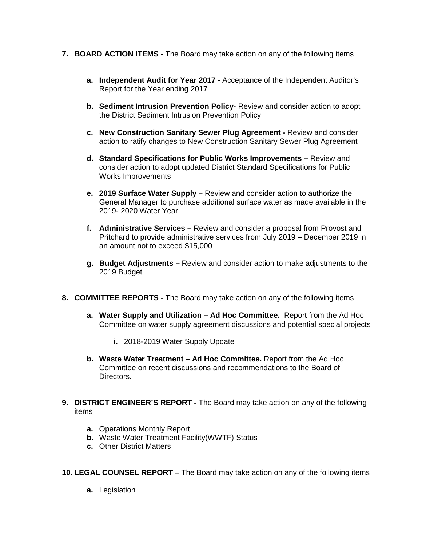- **7. BOARD ACTION ITEMS**  The Board may take action on any of the following items
	- **a. Independent Audit for Year 2017 -** Acceptance of the Independent Auditor's Report for the Year ending 2017
	- **b. Sediment Intrusion Prevention Policy-** Review and consider action to adopt the District Sediment Intrusion Prevention Policy
	- **c. New Construction Sanitary Sewer Plug Agreement -** Review and consider action to ratify changes to New Construction Sanitary Sewer Plug Agreement
	- **d. Standard Specifications for Public Works Improvements –** Review and consider action to adopt updated District Standard Specifications for Public Works Improvements
	- **e. 2019 Surface Water Supply –** Review and consider action to authorize the General Manager to purchase additional surface water as made available in the 2019- 2020 Water Year
	- **f. Administrative Services –** Review and consider a proposal from Provost and Pritchard to provide administrative services from July 2019 – December 2019 in an amount not to exceed \$15,000
	- **g. Budget Adjustments –** Review and consider action to make adjustments to the 2019 Budget
- **8. COMMITTEE REPORTS -** The Board may take action on any of the following items
	- **a. Water Supply and Utilization – Ad Hoc Committee.** Report from the Ad Hoc Committee on water supply agreement discussions and potential special projects
		- **i.** 2018-2019 Water Supply Update
	- **b. Waste Water Treatment – Ad Hoc Committee.** Report from the Ad Hoc Committee on recent discussions and recommendations to the Board of Directors.
- **9. DISTRICT ENGINEER'S REPORT -** The Board may take action on any of the following items
	- **a.** Operations Monthly Report
	- **b.** Waste Water Treatment Facility(WWTF) Status
	- **c.** Other District Matters
- **10. LEGAL COUNSEL REPORT** The Board may take action on any of the following items
	- **a.** Legislation